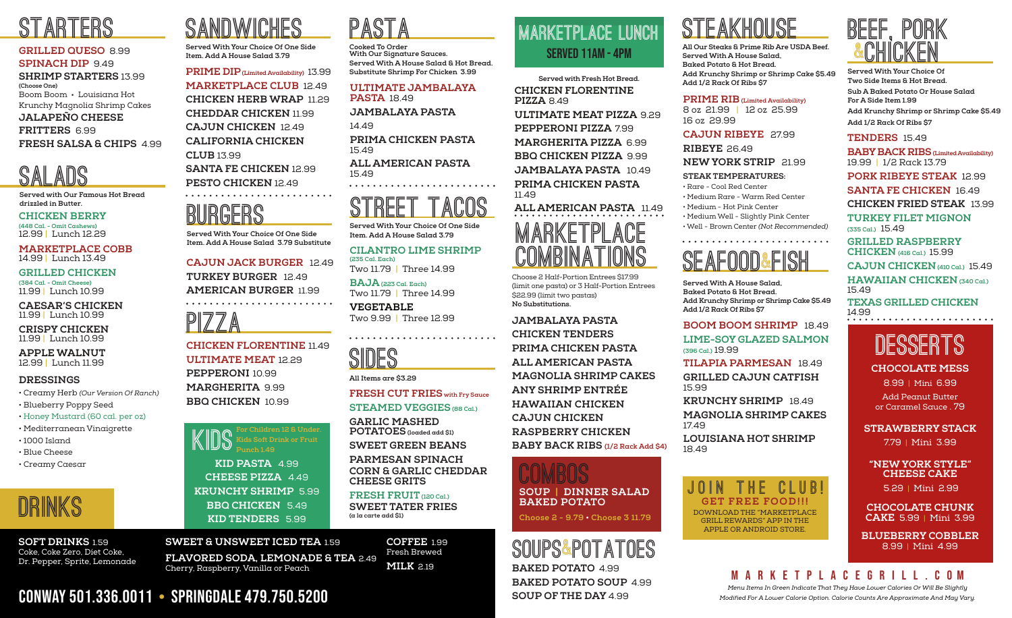# **starters**

## **GRILLED QUESO** 8.99 **SPINACH DIP** 9.49 **SHRIMP STARTERS** 13.99 **(Choose One)** Boom Boom • Louisiana Hot Krunchy Magnolia Shrimp Cakes **JALAPEÑO CHEESE FRITTERS** 6.99

**FRESH SALSA & CHIPS** 4.99

# **SALADS**

**Served with Our Famous Hot Bread drizzled in Butter.**

#### **CHICKEN BERRY**

**(448 Cal. - Omit Cashews)** 12.99 | Lunch 12.29

**MARKETPLACE COBB**  14.99 | Lunch 13.49

**GRILLED CHICKEN (384 Cal. - Omit Cheese)** 11.99 | Lunch 10.99

**CAESAR'S CHICKEN**  11.99 | Lunch 10.99

**CRISPY CHICKEN**  11.99 | Lunch 10.99

**APPLE WALNUT**  12.99 | Lunch 11.99

## **DRESSINGS**

• Creamy Herb *(Our Version Of Ranch)*

• Blueberry Poppy Seed

## • Honey Mustard (60 cal. per oz)

- Mediterranean Vinaigrette
- 1000 Island
- Blue Cheese
- Creamy Caesar



**SOFT DRINKS** 1.59 Coke, Coke Zero, Diet Coke, Dr. Pepper, Sprite, Lemonade

# **SANDWICHES**

**Served With Your Choice Of One Side Item. Add A House Salad 3.79**

**PRIME DIP (Limited Availability)** 13.99 **MARKETPLACE CLUB** 12.49 **CHICKEN HERB WRAP** 11.29 **CHEDDAR CHICKEN** 11.99 **CAJUN CHICKEN** 12.49 **CALIFORNIA CHICKEN CLUB** 13.99 **SANTA FE CHICKEN** 12.99 **PESTO CHICKEN** 12.49

## **BURGERS**

**Served With Your Choice Of One Side Item. Add A House Salad 3.79 Substitute**

## **CAJUN JACK BURGER** 12.49

**TURKEY BURGER** 12.49 **AMERICAN BURGER** 11.99 . . . . . . . . . . . . . . . . . .

**PIZZA**

## **CHICKEN FLORENTINE** 11.49

**ULTIMATE MEAT** 12.29 **PEPPERONI** 10.99 **MARGHERITA** 9.99



**KID PASTA** 4.99 **CHEESE PIZZA** 4.49 **KRUNCHY SHRIMP** 5.99 **BBQ CHICKEN** 5.49 **KID TENDERS** 5.99

**SWEET & UNSWEET ICED TEA** 1.59 **FLAVORED SODA, LEMONADE & TEA** 2.49 Cherry, Raspberry, Vanilla or Peach

**PASTA**

**Cooked To Order With Our Signature Sauces. Served With A House Salad & Hot Bread. Substitute Shrimp For Chicken 3.99** 

**ULTIMATE JAMBALAYA PASTA** 18.49

**JAMBALAYA PASTA** 

14.49

. . . . . .

**PRIMA CHICKEN PASTA** 15.49

**ALL AMERICAN PASTA** 15.49

# **STREET TACOS**

. . . . . . . . . . . . . . . . . . .

**Served With Your Choice Of One Side Item. Add A House Salad 3.79**

**CILANTRO LIME SHRIMP (235 Cal. Each)**

Two 11.79 | Three 14.99

**BAJA (223 Cal. Each)** Two 11.79 | Three 14.99 **VEGETABLE**  Two 9.99 | Three 12.99

## **SIDES**

**All Items are \$3.29**

**FRESH CUT FRIES with Fry Sauce STEAMED VEGGIES** (88 Cal.)

**GARLIC MASHED POTATOES (loaded add \$1) SWEET GREEN BEANS PARMESAN SPINACH CORN & GARLIC CHEDDAR**

**CHEESE GRITS**

**FRESH FRUIT (120 Cal.) SWEET TATER FRIES (a la carte add \$1)**

**MILK** 2.19

**COFFEE** 1.99 Fresh Brewed **SOUPS&POTATOES Choose 2 - 9.79 • Choose 3 11.79**

**BAKED POTATO** 4.99 **BAKED POTATO SOUP** 4.99

**COMBOS**

**BAKED POTATO**

**SOUP OF THE DAY** 4.99

**marketplace**

**ALL AMERICAN PASTA** 11.49

**CHICKEN FLORENTINE** 

**ULTIMATE MEAT PIZZA** 9.29 **PEPPERONI PIZZA** 7.99 **MARGHERITA PIZZA** 6.99 **BBQ CHICKEN PIZZA** 9.99 **JAMBALAYA PASTA** 10.49 **PRIMA CHICKEN PASTA**

**MARKETPLACE LUNCH**

SERVED 11AM - 4PM

**Served with Fresh Hot Bread.**

**PIZZA** 8.49

11.49

**combinations**

Choose 2 Half-Portion Entrees \$17.99 (limit one pasta) or 3 Half-Portion Entrees

**BABY BACK RIBS (1/2 Rack Add \$4)**

**SOUP | DINNER SALAD**

**JAMBALAYA PASTA CHICKEN TENDERS PRIMA CHICKEN PASTA ALL AMERICAN PASTA MAGNOLIA SHRIMP CAKES ANY SHRIMP ENTRÉE HAWAIIAN CHICKEN CAJUN CHICKEN RASPBERRY CHICKEN**

\$22.99 (limit two pastas) **No Substitutions.** 

# **STEAKHOUSE**

**All Our Steaks & Prime Rib Are USDA Beef. Served With A House Salad, Baked Potato & Hot Bread. Add Krunchy Shrimp or Shrimp Cake \$5.49 Add 1/2 Rack Of Ribs \$7**

## **PRIME RIB (Limited Availability)**

8 oz 21.99 | 12 oz 25.99 16 oz 29.99

**CAJUN RIBEYE** 27.99

**RIBEYE** 26.49

**NEW YORK STRIP** 21.99

**STEAK TEMPERATURES:** 

- Rare Cool Red Center
- Medium Rare Warm Red Center
- Medium Hot Pink Center
- Medium Well Slightly Pink Center
- Well Brown Center *(Not Recommended)*

## **SEAFOOD&FISH**

**Served With A House Salad, Baked Potato & Hot Bread. Add Krunchy Shrimp or Shrimp Cake \$5.49 Add 1/2 Rack Of Ribs \$7**

**BOOM BOOM SHRIMP** 18.49 **LIME-SOY GLAZED SALMON (396 Cal.)** 19.99

**TILAPIA PARMESAN** 18.49 **GRILLED CAJUN CATFISH** 15.99

**KRUNCHY SHRIMP** 18.49 **MAGNOLIA SHRIMP CAKES** 17.49

**LOUISIANA HOT SHRIMP** 18.49

#### **GET FREE FOOD!!!**  DOWNLOAD THE "MARKETPLACE GRILL REWARDS" APP IN THE APPLE OR ANDROID STORE. **JOIN THE CLUB!**

**BEEF, PORK &CHICKEN**

**Served With Your Choice Of Two Side Items & Hot Bread. Sub A Baked Potato Or House Salad For A Side Item 1.99** 

**Add Krunchy Shrimp or Shrimp Cake \$5.49 Add 1/2 Rack Of Ribs \$7**

#### **TENDERS** 15.49

**BABY BACK RIBS(Limited Availability)** 19.99 | 1/2 Rack 13.79

**PORK RIBEYE STEAK** 12.99

**SANTA FE CHICKEN** 16.49

**CHICKEN FRIED STEAK** 13.99

**TURKEY FILET MIGNON (335 Cal.)** 15.49

**GRILLED RASPBERRY CHICKEN (416 Cal.)** 15.99

**CAJUN CHICKEN (410 Cal.)** 15.49 **HAWAIIAN CHICKEN (340 Cal.)**

15.49 **TEXAS GRILLED CHICKEN** 14.99

# **DESSERTS**

**CHOCOLATE MESS** 8.99 | Mini 6.99

Add Peanut Butter or Caramel Sauce . 79

## **STRAWBERRY STACK**

7.79 | Mini 3.99

**"NEW YORK STYLE" CHEESE CAKE**

5.29 | Mini 2.99

**CHOCOLATE CHUNK CAKE** 5.99 | Mini 3.99

**BLUEBERRY COBBLER** 8.99 | Mini 4.99

## M A R K E T P L A C E G R I L L . C O M

*Menu Items In Green Indicate That They Have Lower Calories Or Will Be Slightly Modified For A Lower Calorie Option. Calorie Counts Are Approximate And May Vary.*

Conway 501.336.0011 **•** Springdale 479.750.5200

# **BBQ CHICKEN** 10.99